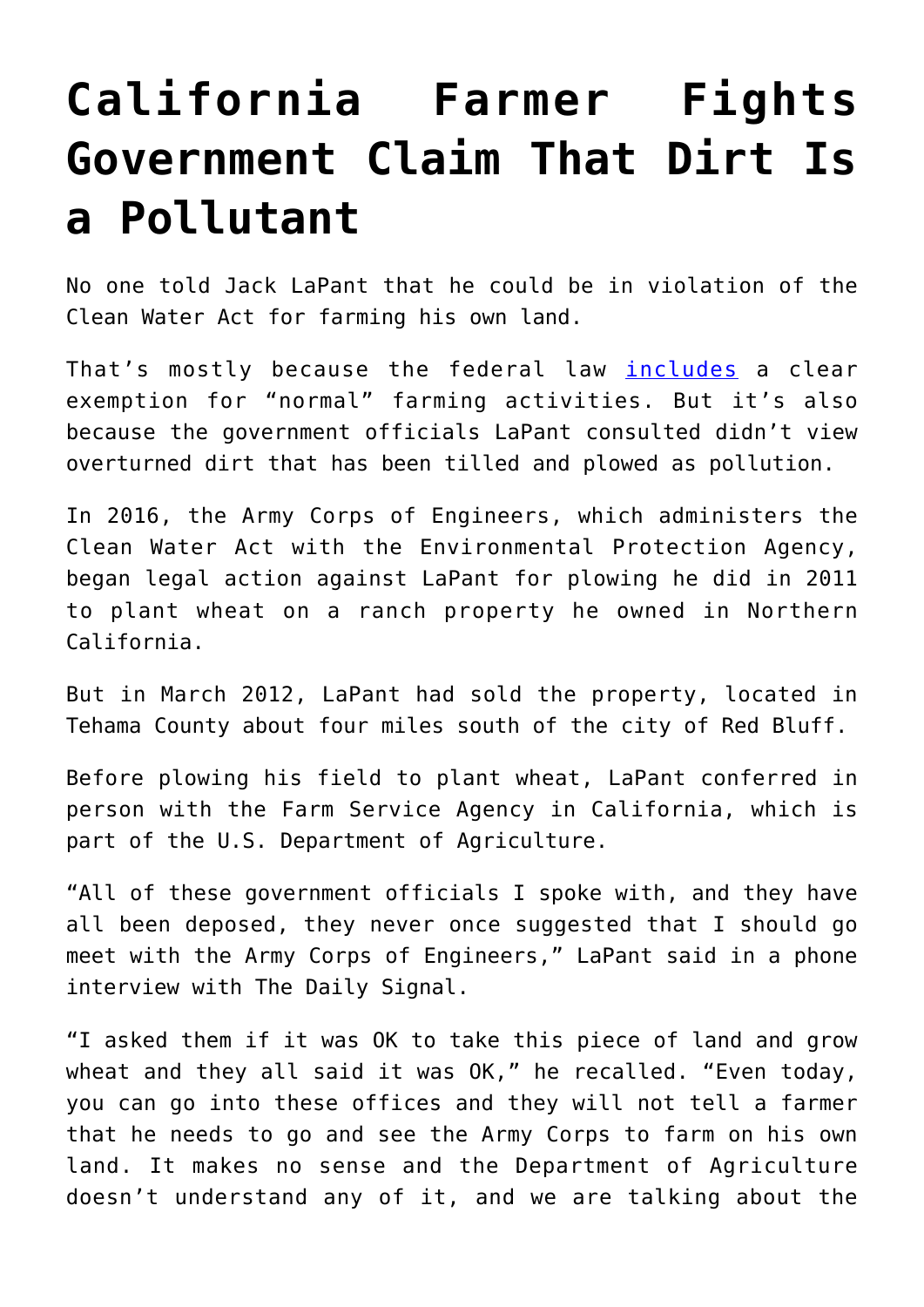## **[California Farmer Fights](https://intellectualtakeout.org/2019/12/california-farmer-fights-government-claim-that-dirt-is-a-pollutant/) [Government Claim That Dirt Is](https://intellectualtakeout.org/2019/12/california-farmer-fights-government-claim-that-dirt-is-a-pollutant/) [a Pollutant](https://intellectualtakeout.org/2019/12/california-farmer-fights-government-claim-that-dirt-is-a-pollutant/)**

No one told Jack LaPant that he could be in violation of the Clean Water Act for farming his own land.

That's mostly because the federal law *[includes](https://www.epa.gov/laws-regulations/summary-clean-water-act)* a clear exemption for "normal" farming activities. But it's also because the government officials LaPant consulted didn't view overturned dirt that has been tilled and plowed as pollution.

In 2016, the Army Corps of Engineers, which administers the Clean Water Act with the Environmental Protection Agency, began legal action against LaPant for plowing he did in 2011 to plant wheat on a ranch property he owned in Northern California.

But in March 2012, LaPant had sold the property, located in Tehama County about four miles south of the city of Red Bluff.

Before plowing his field to plant wheat, LaPant conferred in person with the Farm Service Agency in California, which is part of the U.S. Department of Agriculture.

"All of these government officials I spoke with, and they have all been deposed, they never once suggested that I should go meet with the Army Corps of Engineers," LaPant said in a phone interview with The Daily Signal.

"I asked them if it was OK to take this piece of land and grow wheat and they all said it was OK," he recalled. "Even today, you can go into these offices and they will not tell a farmer that he needs to go and see the Army Corps to farm on his own land. It makes no sense and the Department of Agriculture doesn't understand any of it, and we are talking about the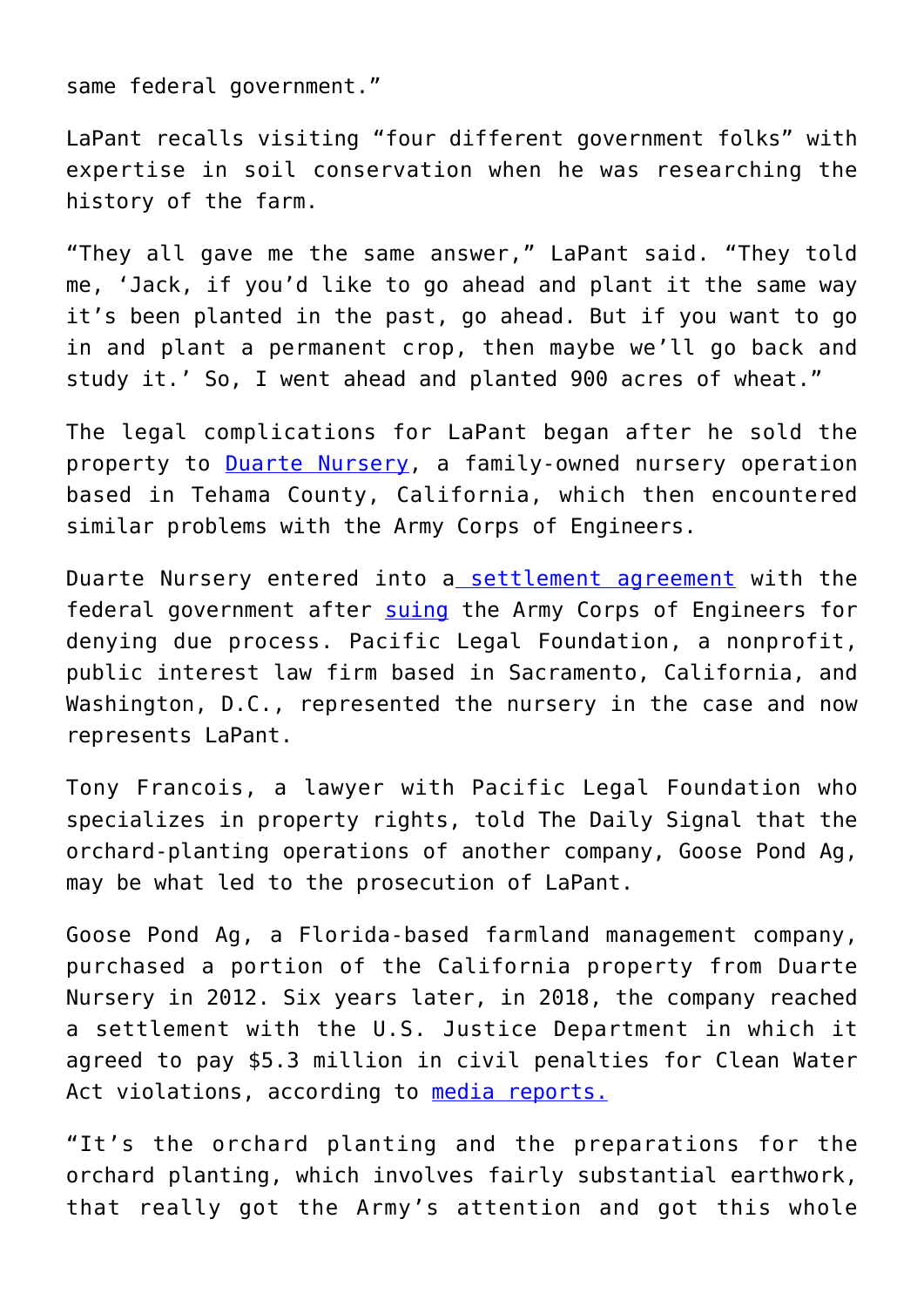same federal government."

LaPant recalls visiting "four different government folks" with expertise in soil conservation when he was researching the history of the farm.

"They all gave me the same answer," LaPant said. "They told me, 'Jack, if you'd like to go ahead and plant it the same way it's been planted in the past, go ahead. But if you want to go in and plant a permanent crop, then maybe we'll go back and study it.' So, I went ahead and planted 900 acres of wheat."

The legal complications for LaPant began after he sold the property to [Duarte Nursery,](https://duartenursery.com/) a family-owned nursery operation based in Tehama County, California, which then encountered similar problems with the Army Corps of Engineers.

Duarte Nursery entered into a [settlement agreement](https://pacificlegal.org/press-release/settlement-reached-in-duarte-nursery-case/) with the federal government after [suing](https://pacificlegal.org/case/duarte-nursery-v-u-s-army-corps-of-engineers/) the Army Corps of Engineers for denying due process. Pacific Legal Foundation, a nonprofit, public interest law firm based in Sacramento, California, and Washington, D.C., represented the nursery in the case and now represents LaPant.

Tony Francois, a lawyer with Pacific Legal Foundation who specializes in property rights, told The Daily Signal that the orchard-planting operations of another company, Goose Pond Ag, may be what led to the prosecution of LaPant.

Goose Pond Ag, a Florida-based farmland management company, purchased a portion of the California property from Duarte Nursery in 2012. Six years later, in 2018, the company reached a settlement with the U.S. Justice Department in which it agreed to pay \$5.3 million in civil penalties for Clean Water Act violations, according to [media reports.](https://regionalassociations.org/goose-pond-ag-doj-agreement/)

"It's the orchard planting and the preparations for the orchard planting, which involves fairly substantial earthwork, that really got the Army's attention and got this whole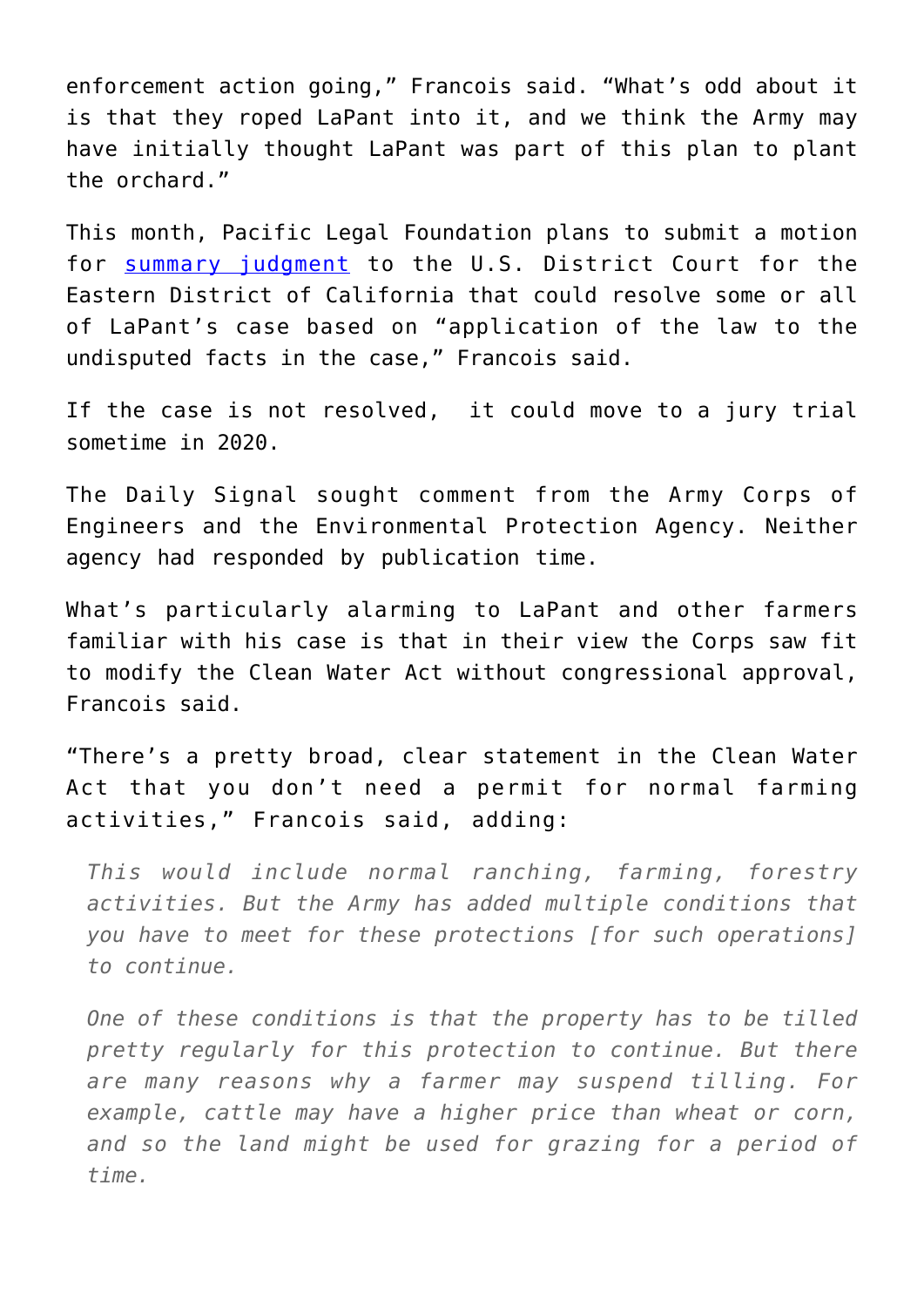enforcement action going," Francois said. "What's odd about it is that they roped LaPant into it, and we think the Army may have initially thought LaPant was part of this plan to plant the orchard."

This month, Pacific Legal Foundation plans to submit a motion for [summary judgment](https://www.law.cornell.edu/wex/summary_judgment) to the U.S. District Court for the Eastern District of California that could resolve some or all of LaPant's case based on "application of the law to the undisputed facts in the case," Francois said.

If the case is not resolved, it could move to a jury trial sometime in 2020.

The Daily Signal sought comment from the Army Corps of Engineers and the Environmental Protection Agency. Neither agency had responded by publication time.

What's particularly alarming to LaPant and other farmers familiar with his case is that in their view the Corps saw fit to modify the Clean Water Act without congressional approval, Francois said.

"There's a pretty broad, clear statement in the Clean Water Act that you don't need a permit for normal farming activities," Francois said, adding:

*This would include normal ranching, farming, forestry activities. But the Army has added multiple conditions that you have to meet for these protections [for such operations] to continue.*

*One of these conditions is that the property has to be tilled pretty regularly for this protection to continue. But there are many reasons why a farmer may suspend tilling. For example, cattle may have a higher price than wheat or corn, and so the land might be used for grazing for a period of time.*